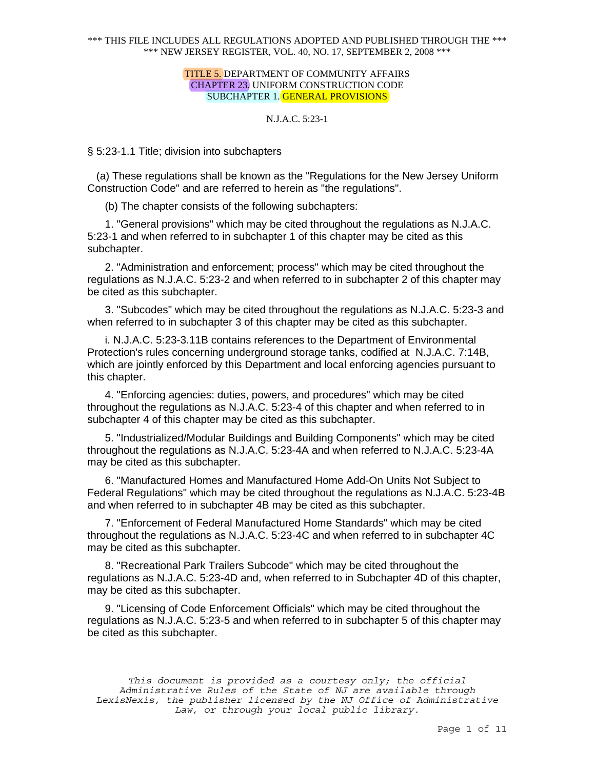### TITLE 5. DEPARTMENT OF COMMUNITY AFFAIRS CHAPTER 23. UNIFORM CONSTRUCTION CODE SUBCHAPTER 1. GENERAL PROVISIONS

# N.J.A.C. 5:23-1

§ 5:23-1.1 Title; division into subchapters

 (a) These regulations shall be known as the "Regulations for the New Jersey Uniform Construction Code" and are referred to herein as "the regulations".

(b) The chapter consists of the following subchapters:

1. "General provisions" which may be cited throughout the regulations as N.J.A.C. 5:23-1 and when referred to in subchapter 1 of this chapter may be cited as this subchapter.

2. "Administration and enforcement; process" which may be cited throughout the regulations as N.J.A.C. 5:23-2 and when referred to in subchapter 2 of this chapter may be cited as this subchapter.

3. "Subcodes" which may be cited throughout the regulations as N.J.A.C. 5:23-3 and when referred to in subchapter 3 of this chapter may be cited as this subchapter.

i. N.J.A.C. 5:23-3.11B contains references to the Department of Environmental Protection's rules concerning underground storage tanks, codified at N.J.A.C. 7:14B, which are jointly enforced by this Department and local enforcing agencies pursuant to this chapter.

4. "Enforcing agencies: duties, powers, and procedures" which may be cited throughout the regulations as N.J.A.C. 5:23-4 of this chapter and when referred to in subchapter 4 of this chapter may be cited as this subchapter.

5. "Industrialized/Modular Buildings and Building Components" which may be cited throughout the regulations as N.J.A.C. 5:23-4A and when referred to N.J.A.C. 5:23-4A may be cited as this subchapter.

6. "Manufactured Homes and Manufactured Home Add-On Units Not Subject to Federal Regulations" which may be cited throughout the regulations as N.J.A.C. 5:23-4B and when referred to in subchapter 4B may be cited as this subchapter.

7. "Enforcement of Federal Manufactured Home Standards" which may be cited throughout the regulations as N.J.A.C. 5:23-4C and when referred to in subchapter 4C may be cited as this subchapter.

8. "Recreational Park Trailers Subcode" which may be cited throughout the regulations as N.J.A.C. 5:23-4D and, when referred to in Subchapter 4D of this chapter, may be cited as this subchapter.

9. "Licensing of Code Enforcement Officials" which may be cited throughout the regulations as N.J.A.C. 5:23-5 and when referred to in subchapter 5 of this chapter may be cited as this subchapter.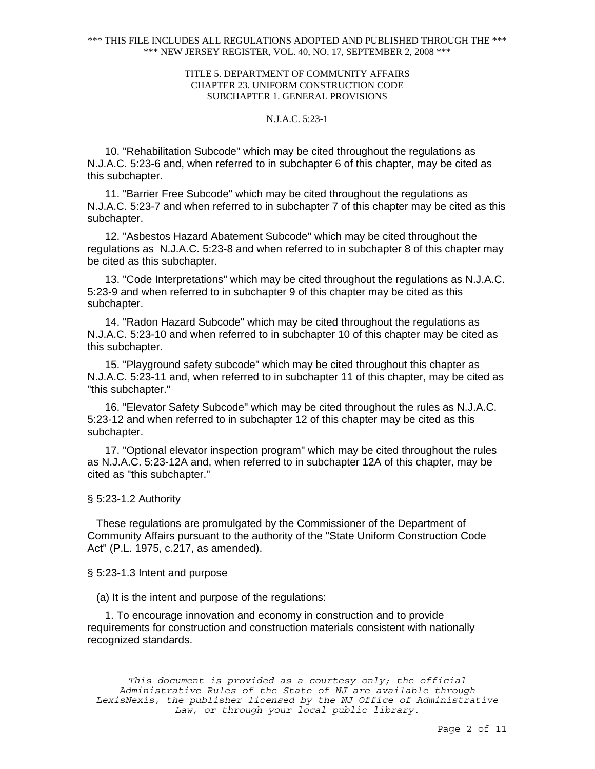## TITLE 5. DEPARTMENT OF COMMUNITY AFFAIRS CHAPTER 23. UNIFORM CONSTRUCTION CODE SUBCHAPTER 1. GENERAL PROVISIONS

## N.J.A.C. 5:23-1

10. "Rehabilitation Subcode" which may be cited throughout the regulations as N.J.A.C. 5:23-6 and, when referred to in subchapter 6 of this chapter, may be cited as this subchapter.

11. "Barrier Free Subcode" which may be cited throughout the regulations as N.J.A.C. 5:23-7 and when referred to in subchapter 7 of this chapter may be cited as this subchapter.

12. "Asbestos Hazard Abatement Subcode" which may be cited throughout the regulations as N.J.A.C. 5:23-8 and when referred to in subchapter 8 of this chapter may be cited as this subchapter.

13. "Code Interpretations" which may be cited throughout the regulations as N.J.A.C. 5:23-9 and when referred to in subchapter 9 of this chapter may be cited as this subchapter.

14. "Radon Hazard Subcode" which may be cited throughout the regulations as N.J.A.C. 5:23-10 and when referred to in subchapter 10 of this chapter may be cited as this subchapter.

15. "Playground safety subcode" which may be cited throughout this chapter as N.J.A.C. 5:23-11 and, when referred to in subchapter 11 of this chapter, may be cited as "this subchapter."

16. "Elevator Safety Subcode" which may be cited throughout the rules as N.J.A.C. 5:23-12 and when referred to in subchapter 12 of this chapter may be cited as this subchapter.

17. "Optional elevator inspection program" which may be cited throughout the rules as N.J.A.C. 5:23-12A and, when referred to in subchapter 12A of this chapter, may be cited as "this subchapter."

# § 5:23-1.2 Authority

 These regulations are promulgated by the Commissioner of the Department of Community Affairs pursuant to the authority of the "State Uniform Construction Code Act" (P.L. 1975, c.217, as amended).

§ 5:23-1.3 Intent and purpose

(a) It is the intent and purpose of the regulations:

1. To encourage innovation and economy in construction and to provide requirements for construction and construction materials consistent with nationally recognized standards.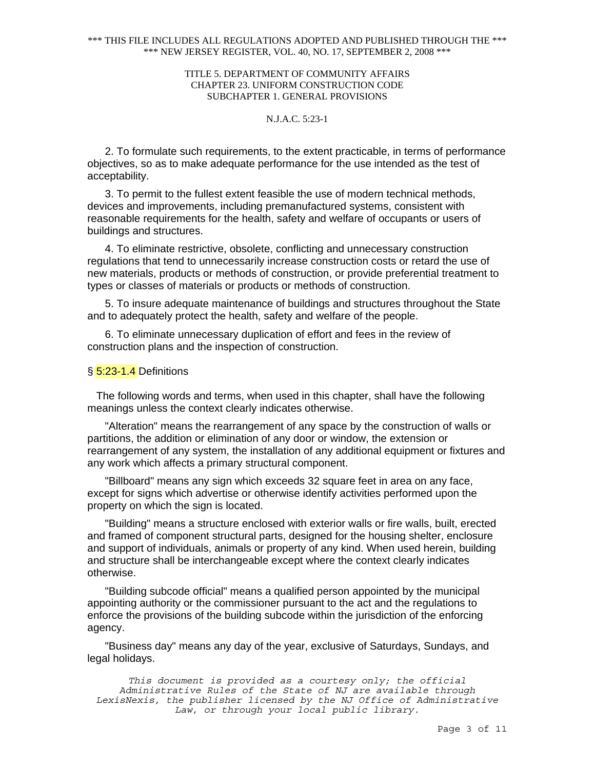## TITLE 5. DEPARTMENT OF COMMUNITY AFFAIRS CHAPTER 23. UNIFORM CONSTRUCTION CODE SUBCHAPTER 1. GENERAL PROVISIONS

# N.J.A.C. 5:23-1

2. To formulate such requirements, to the extent practicable, in terms of performance objectives, so as to make adequate performance for the use intended as the test of acceptability.

3. To permit to the fullest extent feasible the use of modern technical methods, devices and improvements, including premanufactured systems, consistent with reasonable requirements for the health, safety and welfare of occupants or users of buildings and structures.

4. To eliminate restrictive, obsolete, conflicting and unnecessary construction regulations that tend to unnecessarily increase construction costs or retard the use of new materials, products or methods of construction, or provide preferential treatment to types or classes of materials or products or methods of construction.

5. To insure adequate maintenance of buildings and structures throughout the State and to adequately protect the health, safety and welfare of the people.

6. To eliminate unnecessary duplication of effort and fees in the review of construction plans and the inspection of construction.

#### § 5:23-1.4 Definitions

 The following words and terms, when used in this chapter, shall have the following meanings unless the context clearly indicates otherwise.

"Alteration" means the rearrangement of any space by the construction of walls or partitions, the addition or elimination of any door or window, the extension or rearrangement of any system, the installation of any additional equipment or fixtures and any work which affects a primary structural component.

"Billboard" means any sign which exceeds 32 square feet in area on any face, except for signs which advertise or otherwise identify activities performed upon the property on which the sign is located.

"Building" means a structure enclosed with exterior walls or fire walls, built, erected and framed of component structural parts, designed for the housing shelter, enclosure and support of individuals, animals or property of any kind. When used herein, building and structure shall be interchangeable except where the context clearly indicates otherwise.

"Building subcode official" means a qualified person appointed by the municipal appointing authority or the commissioner pursuant to the act and the regulations to enforce the provisions of the building subcode within the jurisdiction of the enforcing agency.

"Business day" means any day of the year, exclusive of Saturdays, Sundays, and legal holidays.

*This document is provided as a courtesy only; the official Administrative Rules of the State of NJ are available through LexisNexis, the publisher licensed by the NJ Office of Administrative Law, or through your local public library.*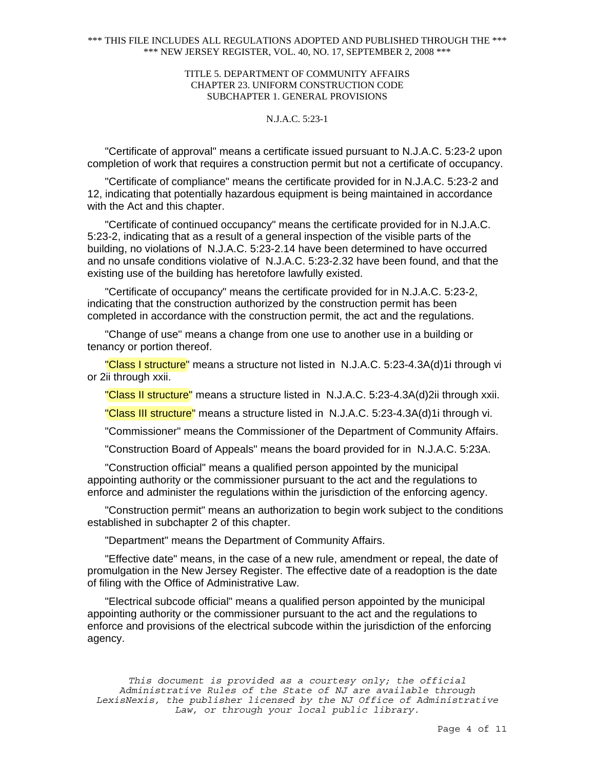## TITLE 5. DEPARTMENT OF COMMUNITY AFFAIRS CHAPTER 23. UNIFORM CONSTRUCTION CODE SUBCHAPTER 1. GENERAL PROVISIONS

# N.J.A.C. 5:23-1

"Certificate of approval" means a certificate issued pursuant to N.J.A.C. 5:23-2 upon completion of work that requires a construction permit but not a certificate of occupancy.

"Certificate of compliance" means the certificate provided for in N.J.A.C. 5:23-2 and 12, indicating that potentially hazardous equipment is being maintained in accordance with the Act and this chapter.

"Certificate of continued occupancy" means the certificate provided for in N.J.A.C. 5:23-2, indicating that as a result of a general inspection of the visible parts of the building, no violations of N.J.A.C. 5:23-2.14 have been determined to have occurred and no unsafe conditions violative of N.J.A.C. 5:23-2.32 have been found, and that the existing use of the building has heretofore lawfully existed.

"Certificate of occupancy" means the certificate provided for in N.J.A.C. 5:23-2, indicating that the construction authorized by the construction permit has been completed in accordance with the construction permit, the act and the regulations.

"Change of use" means a change from one use to another use in a building or tenancy or portion thereof.

"Class I structure" means a structure not listed in N.J.A.C. 5:23-4.3A(d)1i through vi or 2ii through xxii.

"Class II structure" means a structure listed in N.J.A.C. 5:23-4.3A(d)2ii through xxii.

"Class III structure" means a structure listed in N.J.A.C. 5:23-4.3A(d)1i through vi.

"Commissioner" means the Commissioner of the Department of Community Affairs.

"Construction Board of Appeals" means the board provided for in N.J.A.C. 5:23A.

"Construction official" means a qualified person appointed by the municipal appointing authority or the commissioner pursuant to the act and the regulations to enforce and administer the regulations within the jurisdiction of the enforcing agency.

"Construction permit" means an authorization to begin work subject to the conditions established in subchapter 2 of this chapter.

"Department" means the Department of Community Affairs.

"Effective date" means, in the case of a new rule, amendment or repeal, the date of promulgation in the New Jersey Register. The effective date of a readoption is the date of filing with the Office of Administrative Law.

"Electrical subcode official" means a qualified person appointed by the municipal appointing authority or the commissioner pursuant to the act and the regulations to enforce and provisions of the electrical subcode within the jurisdiction of the enforcing agency.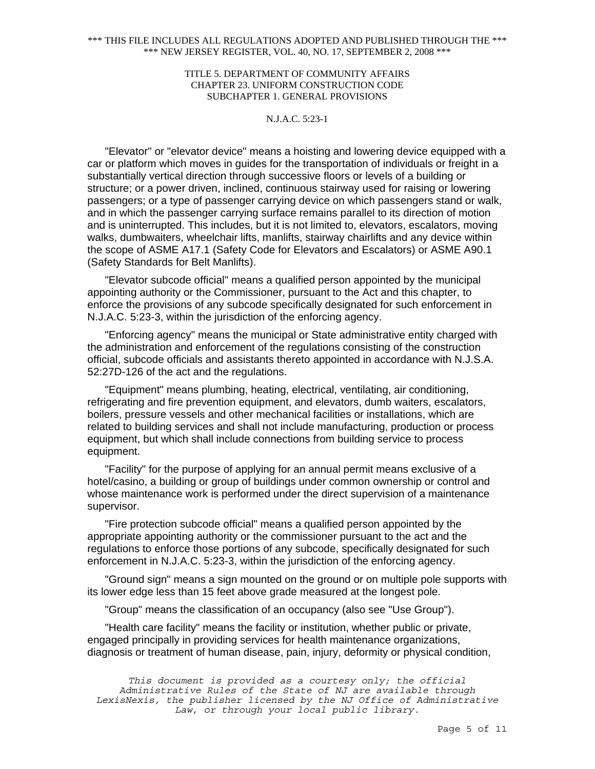## TITLE 5. DEPARTMENT OF COMMUNITY AFFAIRS CHAPTER 23. UNIFORM CONSTRUCTION CODE SUBCHAPTER 1. GENERAL PROVISIONS

# N.J.A.C. 5:23-1

"Elevator" or "elevator device" means a hoisting and lowering device equipped with a car or platform which moves in guides for the transportation of individuals or freight in a substantially vertical direction through successive floors or levels of a building or structure; or a power driven, inclined, continuous stairway used for raising or lowering passengers; or a type of passenger carrying device on which passengers stand or walk, and in which the passenger carrying surface remains parallel to its direction of motion and is uninterrupted. This includes, but it is not limited to, elevators, escalators, moving walks, dumbwaiters, wheelchair lifts, manlifts, stairway chairlifts and any device within the scope of ASME A17.1 (Safety Code for Elevators and Escalators) or ASME A90.1 (Safety Standards for Belt Manlifts).

"Elevator subcode official" means a qualified person appointed by the municipal appointing authority or the Commissioner, pursuant to the Act and this chapter, to enforce the provisions of any subcode specifically designated for such enforcement in N.J.A.C. 5:23-3, within the jurisdiction of the enforcing agency.

"Enforcing agency" means the municipal or State administrative entity charged with the administration and enforcement of the regulations consisting of the construction official, subcode officials and assistants thereto appointed in accordance with N.J.S.A. 52:27D-126 of the act and the regulations.

"Equipment" means plumbing, heating, electrical, ventilating, air conditioning, refrigerating and fire prevention equipment, and elevators, dumb waiters, escalators, boilers, pressure vessels and other mechanical facilities or installations, which are related to building services and shall not include manufacturing, production or process equipment, but which shall include connections from building service to process equipment.

"Facility" for the purpose of applying for an annual permit means exclusive of a hotel/casino, a building or group of buildings under common ownership or control and whose maintenance work is performed under the direct supervision of a maintenance supervisor.

"Fire protection subcode official" means a qualified person appointed by the appropriate appointing authority or the commissioner pursuant to the act and the regulations to enforce those portions of any subcode, specifically designated for such enforcement in N.J.A.C. 5:23-3, within the jurisdiction of the enforcing agency.

"Ground sign" means a sign mounted on the ground or on multiple pole supports with its lower edge less than 15 feet above grade measured at the longest pole.

"Group" means the classification of an occupancy (also see "Use Group").

"Health care facility" means the facility or institution, whether public or private, engaged principally in providing services for health maintenance organizations, diagnosis or treatment of human disease, pain, injury, deformity or physical condition,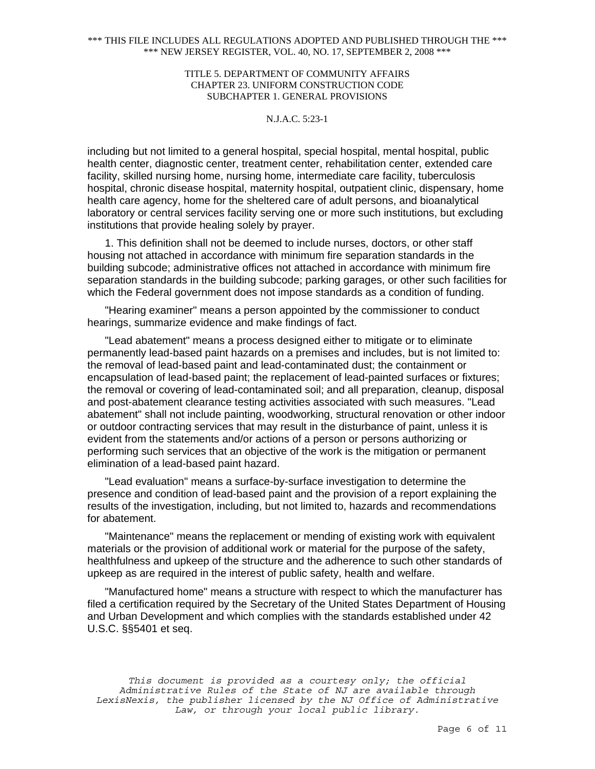## TITLE 5. DEPARTMENT OF COMMUNITY AFFAIRS CHAPTER 23. UNIFORM CONSTRUCTION CODE SUBCHAPTER 1. GENERAL PROVISIONS

# N.J.A.C. 5:23-1

including but not limited to a general hospital, special hospital, mental hospital, public health center, diagnostic center, treatment center, rehabilitation center, extended care facility, skilled nursing home, nursing home, intermediate care facility, tuberculosis hospital, chronic disease hospital, maternity hospital, outpatient clinic, dispensary, home health care agency, home for the sheltered care of adult persons, and bioanalytical laboratory or central services facility serving one or more such institutions, but excluding institutions that provide healing solely by prayer.

1. This definition shall not be deemed to include nurses, doctors, or other staff housing not attached in accordance with minimum fire separation standards in the building subcode; administrative offices not attached in accordance with minimum fire separation standards in the building subcode; parking garages, or other such facilities for which the Federal government does not impose standards as a condition of funding.

"Hearing examiner" means a person appointed by the commissioner to conduct hearings, summarize evidence and make findings of fact.

"Lead abatement" means a process designed either to mitigate or to eliminate permanently lead-based paint hazards on a premises and includes, but is not limited to: the removal of lead-based paint and lead-contaminated dust; the containment or encapsulation of lead-based paint; the replacement of lead-painted surfaces or fixtures; the removal or covering of lead-contaminated soil; and all preparation, cleanup, disposal and post-abatement clearance testing activities associated with such measures. "Lead abatement" shall not include painting, woodworking, structural renovation or other indoor or outdoor contracting services that may result in the disturbance of paint, unless it is evident from the statements and/or actions of a person or persons authorizing or performing such services that an objective of the work is the mitigation or permanent elimination of a lead-based paint hazard.

"Lead evaluation" means a surface-by-surface investigation to determine the presence and condition of lead-based paint and the provision of a report explaining the results of the investigation, including, but not limited to, hazards and recommendations for abatement.

"Maintenance" means the replacement or mending of existing work with equivalent materials or the provision of additional work or material for the purpose of the safety, healthfulness and upkeep of the structure and the adherence to such other standards of upkeep as are required in the interest of public safety, health and welfare.

"Manufactured home" means a structure with respect to which the manufacturer has filed a certification required by the Secretary of the United States Department of Housing and Urban Development and which complies with the standards established under 42 U.S.C. §§5401 et seq.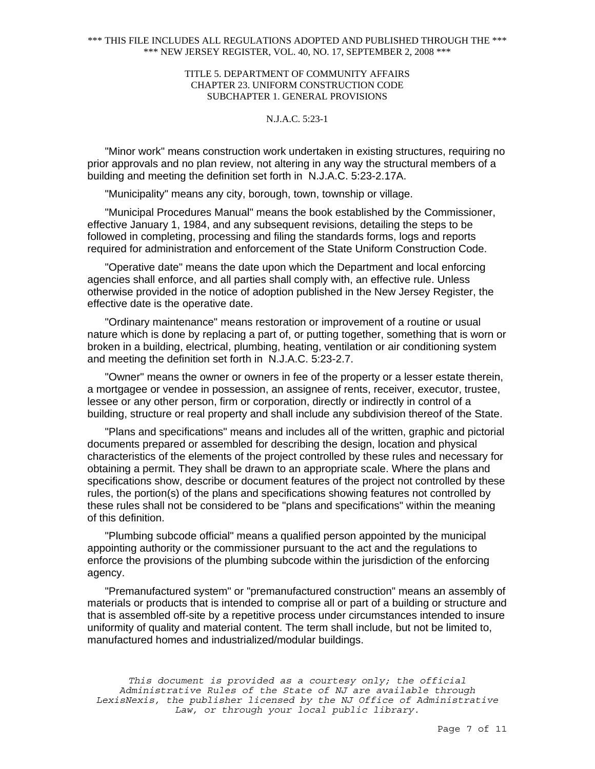## TITLE 5. DEPARTMENT OF COMMUNITY AFFAIRS CHAPTER 23. UNIFORM CONSTRUCTION CODE SUBCHAPTER 1. GENERAL PROVISIONS

# N.J.A.C. 5:23-1

"Minor work" means construction work undertaken in existing structures, requiring no prior approvals and no plan review, not altering in any way the structural members of a building and meeting the definition set forth in N.J.A.C. 5:23-2.17A.

"Municipality" means any city, borough, town, township or village.

"Municipal Procedures Manual" means the book established by the Commissioner, effective January 1, 1984, and any subsequent revisions, detailing the steps to be followed in completing, processing and filing the standards forms, logs and reports required for administration and enforcement of the State Uniform Construction Code.

"Operative date" means the date upon which the Department and local enforcing agencies shall enforce, and all parties shall comply with, an effective rule. Unless otherwise provided in the notice of adoption published in the New Jersey Register, the effective date is the operative date.

"Ordinary maintenance" means restoration or improvement of a routine or usual nature which is done by replacing a part of, or putting together, something that is worn or broken in a building, electrical, plumbing, heating, ventilation or air conditioning system and meeting the definition set forth in N.J.A.C. 5:23-2.7.

"Owner" means the owner or owners in fee of the property or a lesser estate therein, a mortgagee or vendee in possession, an assignee of rents, receiver, executor, trustee, lessee or any other person, firm or corporation, directly or indirectly in control of a building, structure or real property and shall include any subdivision thereof of the State.

"Plans and specifications" means and includes all of the written, graphic and pictorial documents prepared or assembled for describing the design, location and physical characteristics of the elements of the project controlled by these rules and necessary for obtaining a permit. They shall be drawn to an appropriate scale. Where the plans and specifications show, describe or document features of the project not controlled by these rules, the portion(s) of the plans and specifications showing features not controlled by these rules shall not be considered to be "plans and specifications" within the meaning of this definition.

"Plumbing subcode official" means a qualified person appointed by the municipal appointing authority or the commissioner pursuant to the act and the regulations to enforce the provisions of the plumbing subcode within the jurisdiction of the enforcing agency.

"Premanufactured system" or "premanufactured construction" means an assembly of materials or products that is intended to comprise all or part of a building or structure and that is assembled off-site by a repetitive process under circumstances intended to insure uniformity of quality and material content. The term shall include, but not be limited to, manufactured homes and industrialized/modular buildings.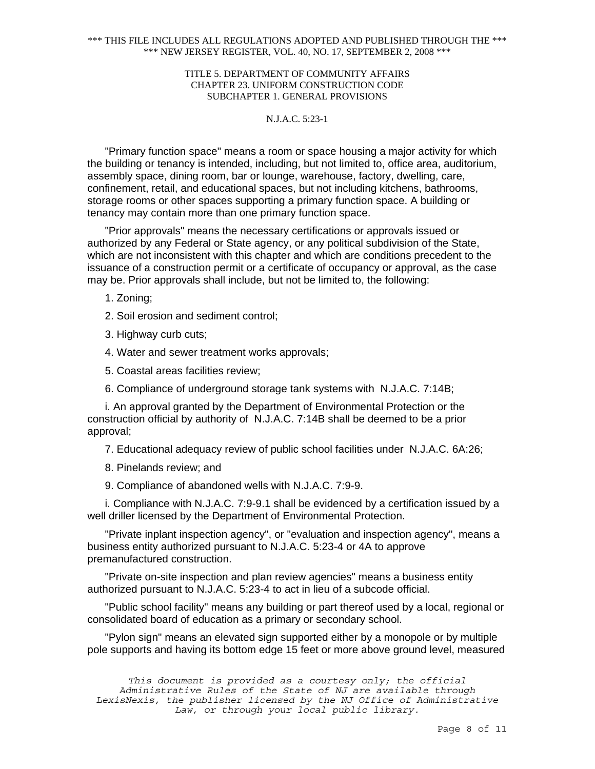## TITLE 5. DEPARTMENT OF COMMUNITY AFFAIRS CHAPTER 23. UNIFORM CONSTRUCTION CODE SUBCHAPTER 1. GENERAL PROVISIONS

# N.J.A.C. 5:23-1

"Primary function space" means a room or space housing a major activity for which the building or tenancy is intended, including, but not limited to, office area, auditorium, assembly space, dining room, bar or lounge, warehouse, factory, dwelling, care, confinement, retail, and educational spaces, but not including kitchens, bathrooms, storage rooms or other spaces supporting a primary function space. A building or tenancy may contain more than one primary function space.

"Prior approvals" means the necessary certifications or approvals issued or authorized by any Federal or State agency, or any political subdivision of the State, which are not inconsistent with this chapter and which are conditions precedent to the issuance of a construction permit or a certificate of occupancy or approval, as the case may be. Prior approvals shall include, but not be limited to, the following:

1. Zoning;

- 2. Soil erosion and sediment control;
- 3. Highway curb cuts;

4. Water and sewer treatment works approvals;

5. Coastal areas facilities review;

6. Compliance of underground storage tank systems with N.J.A.C. 7:14B;

i. An approval granted by the Department of Environmental Protection or the construction official by authority of N.J.A.C. 7:14B shall be deemed to be a prior approval;

7. Educational adequacy review of public school facilities under N.J.A.C. 6A:26;

- 8. Pinelands review; and
- 9. Compliance of abandoned wells with N.J.A.C. 7:9-9.

i. Compliance with N.J.A.C. 7:9-9.1 shall be evidenced by a certification issued by a well driller licensed by the Department of Environmental Protection.

"Private inplant inspection agency", or "evaluation and inspection agency", means a business entity authorized pursuant to N.J.A.C. 5:23-4 or 4A to approve premanufactured construction.

"Private on-site inspection and plan review agencies" means a business entity authorized pursuant to N.J.A.C. 5:23-4 to act in lieu of a subcode official.

"Public school facility" means any building or part thereof used by a local, regional or consolidated board of education as a primary or secondary school.

"Pylon sign" means an elevated sign supported either by a monopole or by multiple pole supports and having its bottom edge 15 feet or more above ground level, measured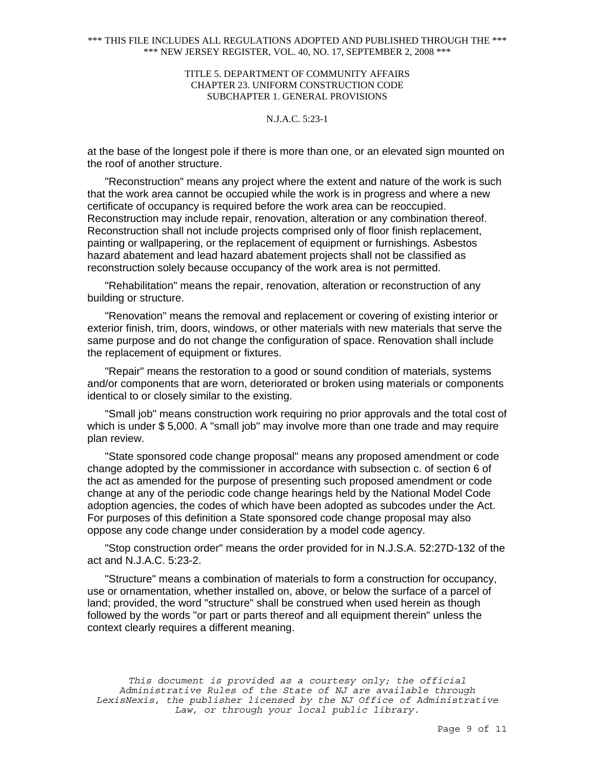## TITLE 5. DEPARTMENT OF COMMUNITY AFFAIRS CHAPTER 23. UNIFORM CONSTRUCTION CODE SUBCHAPTER 1. GENERAL PROVISIONS

# N.J.A.C. 5:23-1

at the base of the longest pole if there is more than one, or an elevated sign mounted on the roof of another structure.

"Reconstruction" means any project where the extent and nature of the work is such that the work area cannot be occupied while the work is in progress and where a new certificate of occupancy is required before the work area can be reoccupied. Reconstruction may include repair, renovation, alteration or any combination thereof. Reconstruction shall not include projects comprised only of floor finish replacement, painting or wallpapering, or the replacement of equipment or furnishings. Asbestos hazard abatement and lead hazard abatement projects shall not be classified as reconstruction solely because occupancy of the work area is not permitted.

"Rehabilitation" means the repair, renovation, alteration or reconstruction of any building or structure.

"Renovation" means the removal and replacement or covering of existing interior or exterior finish, trim, doors, windows, or other materials with new materials that serve the same purpose and do not change the configuration of space. Renovation shall include the replacement of equipment or fixtures.

"Repair" means the restoration to a good or sound condition of materials, systems and/or components that are worn, deteriorated or broken using materials or components identical to or closely similar to the existing.

"Small job" means construction work requiring no prior approvals and the total cost of which is under \$ 5,000. A "small job" may involve more than one trade and may require plan review.

"State sponsored code change proposal" means any proposed amendment or code change adopted by the commissioner in accordance with subsection c. of section 6 of the act as amended for the purpose of presenting such proposed amendment or code change at any of the periodic code change hearings held by the National Model Code adoption agencies, the codes of which have been adopted as subcodes under the Act. For purposes of this definition a State sponsored code change proposal may also oppose any code change under consideration by a model code agency.

"Stop construction order" means the order provided for in N.J.S.A. 52:27D-132 of the act and N.J.A.C. 5:23-2.

"Structure" means a combination of materials to form a construction for occupancy, use or ornamentation, whether installed on, above, or below the surface of a parcel of land; provided, the word "structure" shall be construed when used herein as though followed by the words "or part or parts thereof and all equipment therein" unless the context clearly requires a different meaning.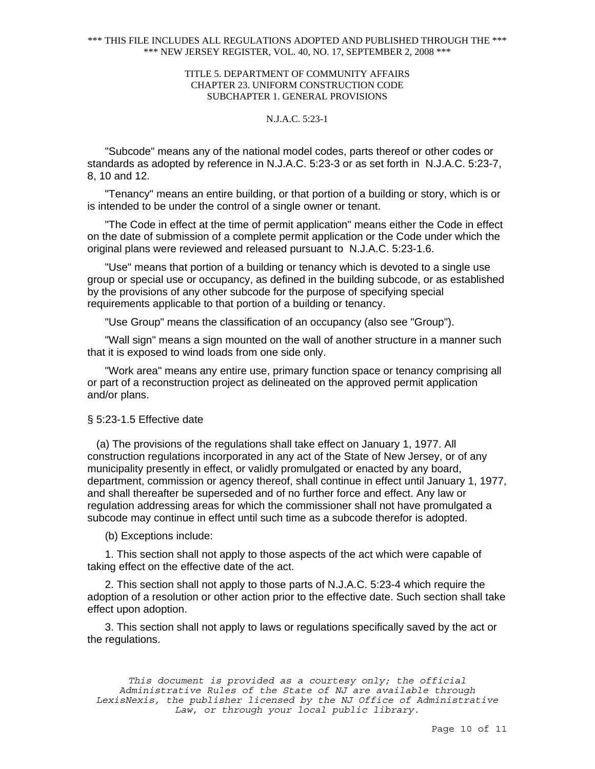## TITLE 5. DEPARTMENT OF COMMUNITY AFFAIRS CHAPTER 23. UNIFORM CONSTRUCTION CODE SUBCHAPTER 1. GENERAL PROVISIONS

# N.J.A.C. 5:23-1

"Subcode" means any of the national model codes, parts thereof or other codes or standards as adopted by reference in N.J.A.C. 5:23-3 or as set forth in N.J.A.C. 5:23-7, 8, 10 and 12.

"Tenancy" means an entire building, or that portion of a building or story, which is or is intended to be under the control of a single owner or tenant.

"The Code in effect at the time of permit application" means either the Code in effect on the date of submission of a complete permit application or the Code under which the original plans were reviewed and released pursuant to N.J.A.C. 5:23-1.6.

"Use" means that portion of a building or tenancy which is devoted to a single use group or special use or occupancy, as defined in the building subcode, or as established by the provisions of any other subcode for the purpose of specifying special requirements applicable to that portion of a building or tenancy.

"Use Group" means the classification of an occupancy (also see "Group").

"Wall sign" means a sign mounted on the wall of another structure in a manner such that it is exposed to wind loads from one side only.

"Work area" means any entire use, primary function space or tenancy comprising all or part of a reconstruction project as delineated on the approved permit application and/or plans.

#### § 5:23-1.5 Effective date

 (a) The provisions of the regulations shall take effect on January 1, 1977. All construction regulations incorporated in any act of the State of New Jersey, or of any municipality presently in effect, or validly promulgated or enacted by any board, department, commission or agency thereof, shall continue in effect until January 1, 1977, and shall thereafter be superseded and of no further force and effect. Any law or regulation addressing areas for which the commissioner shall not have promulgated a subcode may continue in effect until such time as a subcode therefor is adopted.

(b) Exceptions include:

1. This section shall not apply to those aspects of the act which were capable of taking effect on the effective date of the act.

2. This section shall not apply to those parts of N.J.A.C. 5:23-4 which require the adoption of a resolution or other action prior to the effective date. Such section shall take effect upon adoption.

3. This section shall not apply to laws or regulations specifically saved by the act or the regulations.